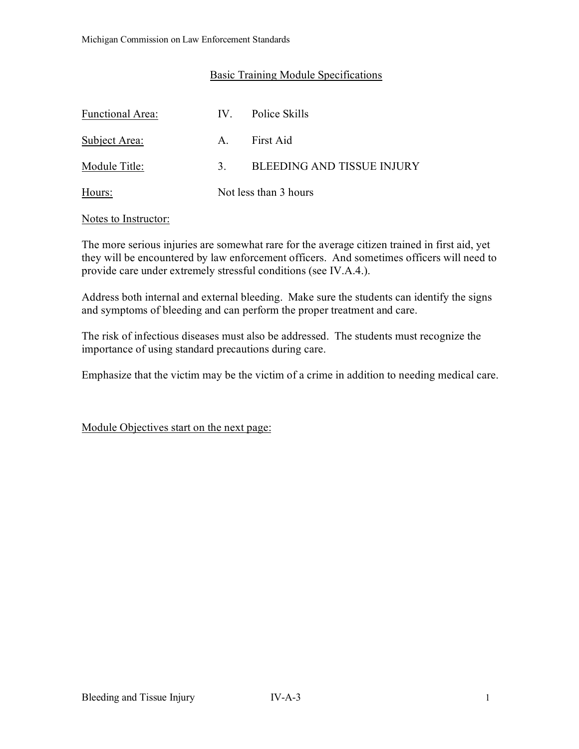## Basic Training Module Specifications

| <b>Functional Area:</b> | $\mathbf{IV}_{-}$     | Police Skills                     |
|-------------------------|-----------------------|-----------------------------------|
| Subject Area:           | $A_{\cdot}$           | First Aid                         |
| Module Title:           | 3 <sub>1</sub>        | <b>BLEEDING AND TISSUE INJURY</b> |
| Hours:                  | Not less than 3 hours |                                   |

### Notes to Instructor:

The more serious injuries are somewhat rare for the average citizen trained in first aid, yet they will be encountered by law enforcement officers. And sometimes officers will need to provide care under extremely stressful conditions (see IV.A.4.).

Address both internal and external bleeding. Make sure the students can identify the signs and symptoms of bleeding and can perform the proper treatment and care.

The risk of infectious diseases must also be addressed. The students must recognize the importance of using standard precautions during care.

Emphasize that the victim may be the victim of a crime in addition to needing medical care.

Module Objectives start on the next page: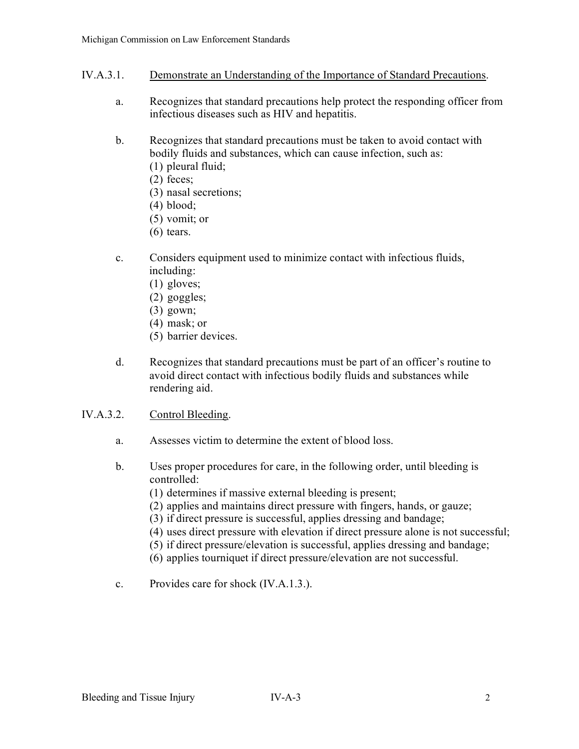- IV.A.3.1. Demonstrate an Understanding of the Importance of Standard Precautions.
	- a. Recognizes that standard precautions help protect the responding officer from infectious diseases such as HIV and hepatitis.
	- b. Recognizes that standard precautions must be taken to avoid contact with bodily fluids and substances, which can cause infection, such as:
		- (1) pleural fluid;
		- (2) feces;
		- (3) nasal secretions;
		- (4) blood;
		- (5) vomit; or
		- $(6)$  tears.
	- c. Considers equipment used to minimize contact with infectious fluids, including:
		- (1) gloves;
		- (2) goggles;
		- (3) gown;
		- (4) mask; or
		- (5) barrier devices.
	- d. Recognizes that standard precautions must be part of an officer's routine to avoid direct contact with infectious bodily fluids and substances while rendering aid.
- IV.A.3.2. Control Bleeding.
	- a. Assesses victim to determine the extent of blood loss.
	- b. Uses proper procedures for care, in the following order, until bleeding is controlled:
		- (1) determines if massive external bleeding is present;
		- (2) applies and maintains direct pressure with fingers, hands, or gauze;
		- (3) if direct pressure is successful, applies dressing and bandage;
		- (4) uses direct pressure with elevation if direct pressure alone is not successful;
		- (5) if direct pressure/elevation is successful, applies dressing and bandage;
		- (6) applies tourniquet if direct pressure/elevation are not successful.
	- c. Provides care for shock (IV.A.1.3.).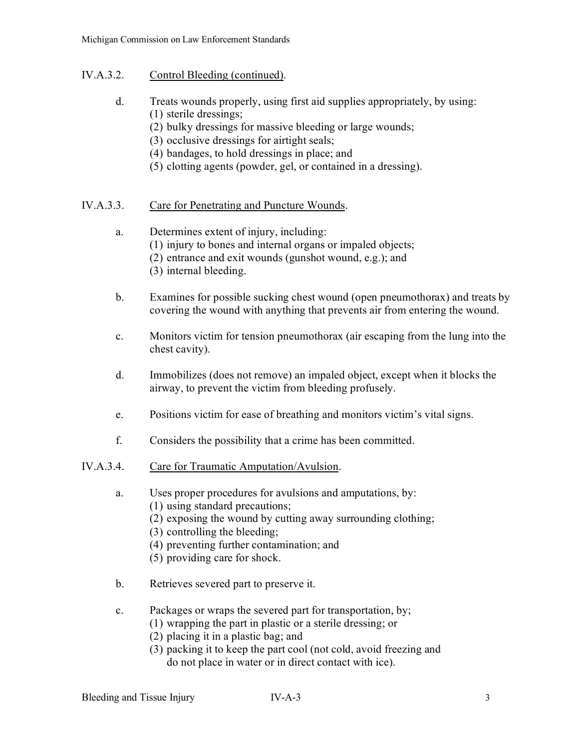## IV.A.3.2. Control Bleeding (continued).

- d. Treats wounds properly, using first aid supplies appropriately, by using: (1) sterile dressings;
	- (2) bulky dressings for massive bleeding or large wounds;
	- (3) occlusive dressings for airtight seals;
	- (4) bandages, to hold dressings in place; and
	- (5) clotting agents (powder, gel, or contained in a dressing).

## IV.A.3.3. Care for Penetrating and Puncture Wounds.

## a. Determines extent of injury, including:

- (1) injury to bones and internal organs or impaled objects;
- (2) entrance and exit wounds (gunshot wound, e.g.); and
- (3) internal bleeding.
- b. Examines for possible sucking chest wound (open pneumothorax) and treats by covering the wound with anything that prevents air from entering the wound.
- c. Monitors victim for tension pneumothorax (air escaping from the lung into the chest cavity).
- d. Immobilizes (does not remove) an impaled object, except when it blocks the airway, to prevent the victim from bleeding profusely.
- e. Positions victim for ease of breathing and monitors victim's vital signs.
- f. Considers the possibility that a crime has been committed.

# IV.A.3.4. Care for Traumatic Amputation/Avulsion.

- a. Uses proper procedures for avulsions and amputations, by:
	- (1) using standard precautions;
	- (2) exposing the wound by cutting away surrounding clothing;
	- (3) controlling the bleeding;
	- (4) preventing further contamination; and
	- (5) providing care for shock.
- b. Retrieves severed part to preserve it.
- c. Packages or wraps the severed part for transportation, by;
	- (1) wrapping the part in plastic or a sterile dressing; or
	- (2) placing it in a plastic bag; and
	- (3) packing it to keep the part cool (not cold, avoid freezing and do not place in water or in direct contact with ice).